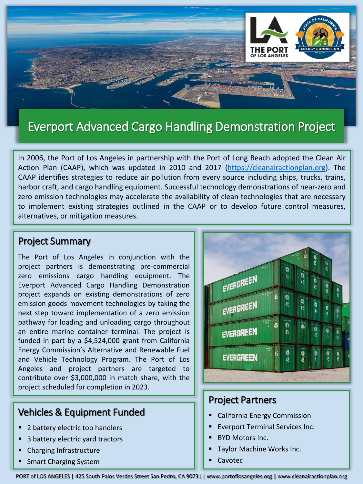

# Everport Advanced Cargo Handling Demonstration Project

In 2006, the Port of Los Angeles in partnership with the Port of Long Beach adopted the Clean Air Action Plan (CAAP), which was updated in 2010 and 2017 [\(https://cleanairactionplan.org](https://cleanairactionplan.org/)). The CAAP identifies strategies to reduce air pollution from every source including ships, trucks, trains, harbor craft, and cargo handling equipment. Successful technology demonstrations of near-zero and zero emission technologies may accelerate the availability of clean technologies that are necessary to implement existing strategies outlined in the CAAP or to develop future control measures, alternatives, or mitigation measures.

#### Project Summary

The Port of Los Angeles in conjunction with the project partners is demonstrating pre-commercial zero emissions cargo handling equipment. The Everport Advanced Cargo Handling Demonstration project expands on existing demonstrations of zero emission goods movement technologies by taking the next step toward implementation of a zero emission pathway for loading and unloading cargo throughout an entire marine container terminal. The project is funded in part by a \$4,524,000 grant from California Energy Commission's Alternative and Renewable Fuel and Vehicle Technology Program. The Port of Los Angeles and project partners are targeted to contribute over \$3,000,000 in match share, with the project scheduled for completion in 2023.

## Vehicles & Equipment Funded

- 2 battery electric top handlers
- 3 battery electric yard tractors
- Charging Infrastructure
- **Smart Charging System**



### Project Partners

- **California Energy Commission**
- **Everport Terminal Services Inc.**
- **BYD Motors Inc.**
- Taylor Machine Works Inc.
- **Cavotec**

PORT of LOS ANGELES | 425 South Palos Verdes Street San Pedro, CA 90731 | www.portoflosangeles.org | www.cleanairactionplan.org